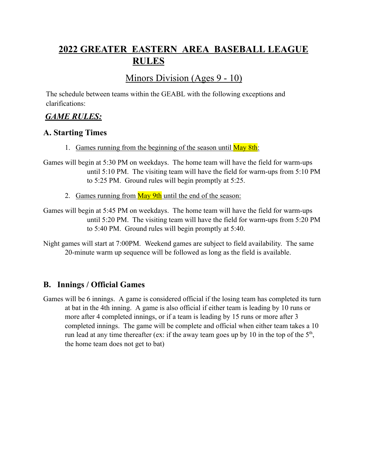# **2022 GREATER EASTERN AREA BASEBALL LEAGUE RULES**

# Minors Division (Ages 9 - 10)

The schedule between teams within the GEABL with the following exceptions and clarifications:

## *GAME RULES:*

#### **A. Starting Times**

- 1. Games running from the beginning of the season until May 8th:
- Games will begin at 5:30 PM on weekdays. The home team will have the field for warm-ups until 5:10 PM. The visiting team will have the field for warm-ups from 5:10 PM to 5:25 PM. Ground rules will begin promptly at 5:25.
	- 2. Games running from May 9th until the end of the season:

Games will begin at 5:45 PM on weekdays. The home team will have the field for warm-ups until 5:20 PM. The visiting team will have the field for warm-ups from 5:20 PM to 5:40 PM. Ground rules will begin promptly at 5:40.

Night games will start at 7:00PM. Weekend games are subject to field availability. The same 20-minute warm up sequence will be followed as long as the field is available.

# **B. Innings / Official Games**

Games will be 6 innings. A game is considered official if the losing team has completed its turn at bat in the 4th inning. A game is also official if either team is leading by 10 runs or more after 4 completed innings, or if a team is leading by 15 runs or more after 3 completed innings. The game will be complete and official when either team takes a 10 run lead at any time thereafter (ex: if the away team goes up by 10 in the top of the  $5<sup>th</sup>$ , the home team does not get to bat)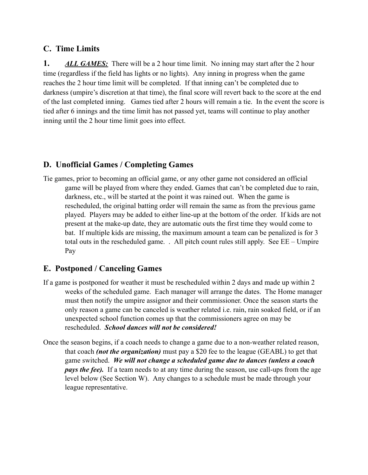### **C. Time Limits**

**1.** *ALL GAMES:* There will be a 2 hour time limit. No inning may start after the 2 hour time (regardless if the field has lights or no lights). Any inning in progress when the game reaches the 2 hour time limit will be completed. If that inning can't be completed due to darkness (umpire's discretion at that time), the final score will revert back to the score at the end of the last completed inning. Games tied after 2 hours will remain a tie. In the event the score is tied after 6 innings and the time limit has not passed yet, teams will continue to play another inning until the 2 hour time limit goes into effect.

## **D. Unofficial Games / Completing Games**

Tie games, prior to becoming an official game, or any other game not considered an official game will be played from where they ended. Games that can't be completed due to rain, darkness, etc., will be started at the point it was rained out. When the game is rescheduled, the original batting order will remain the same as from the previous game played. Players may be added to either line-up at the bottom of the order. If kids are not present at the make-up date, they are automatic outs the first time they would come to bat. If multiple kids are missing, the maximum amount a team can be penalized is for 3 total outs in the rescheduled game. . All pitch count rules still apply. See EE – Umpire Pay

## **E. Postponed / Canceling Games**

- If a game is postponed for weather it must be rescheduled within 2 days and made up within 2 weeks of the scheduled game. Each manager will arrange the dates. The Home manager must then notify the umpire assignor and their commissioner. Once the season starts the only reason a game can be canceled is weather related i.e. rain, rain soaked field, or if an unexpected school function comes up that the commissioners agree on may be rescheduled. *School dances will not be considered!*
- Once the season begins, if a coach needs to change a game due to a non-weather related reason, that coach *(not the organization)* must pay a \$20 fee to the league (GEABL) to get that game switched. *We will not change a scheduled game due to dances (unless a coach pays the fee).* If a team needs to at any time during the season, use call-ups from the age level below (See Section W). Any changes to a schedule must be made through your league representative.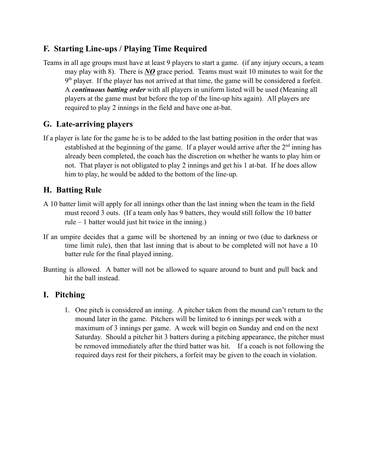### **F. Starting Line-ups / Playing Time Required**

Teams in all age groups must have at least 9 players to start a game. (if any injury occurs, a team may play with 8). There is *NO* grace period. Teams must wait 10 minutes to wait for the  $9<sup>th</sup>$  player. If the player has not arrived at that time, the game will be considered a forfeit. A *continuous batting order* with all players in uniform listed will be used (Meaning all players at the game must bat before the top of the line-up hits again). All players are required to play 2 innings in the field and have one at-bat.

## **G. Late-arriving players**

If a player is late for the game he is to be added to the last batting position in the order that was established at the beginning of the game. If a player would arrive after the  $2<sup>nd</sup>$  inning has already been completed, the coach has the discretion on whether he wants to play him or not. That player is not obligated to play 2 innings and get his 1 at-bat. If he does allow him to play, he would be added to the bottom of the line-up.

### **H. Batting Rule**

- A 10 batter limit will apply for all innings other than the last inning when the team in the field must record 3 outs. (If a team only has 9 batters, they would still follow the 10 batter rule – 1 batter would just hit twice in the inning.)
- If an umpire decides that a game will be shortened by an inning or two (due to darkness or time limit rule), then that last inning that is about to be completed will not have a 10 batter rule for the final played inning.
- Bunting is allowed. A batter will not be allowed to square around to bunt and pull back and hit the ball instead.

#### **I. Pitching**

1. One pitch is considered an inning. A pitcher taken from the mound can't return to the mound later in the game. Pitchers will be limited to 6 innings per week with a maximum of 3 innings per game. A week will begin on Sunday and end on the next Saturday. Should a pitcher hit 3 batters during a pitching appearance, the pitcher must be removed immediately after the third batter was hit. If a coach is not following the required days rest for their pitchers, a forfeit may be given to the coach in violation.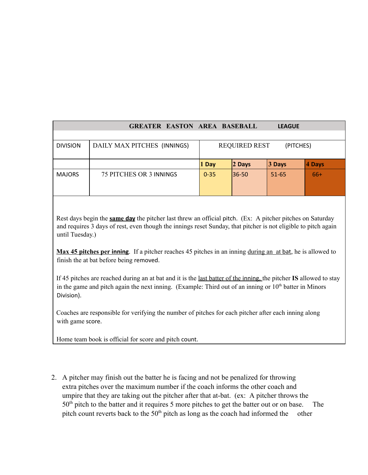| <b>GREATER EASTON AREA BASEBALL</b><br><b>LEAGUE</b> |                                |                                   |          |           |        |
|------------------------------------------------------|--------------------------------|-----------------------------------|----------|-----------|--------|
|                                                      |                                |                                   |          |           |        |
| <b>DIVISION</b>                                      | DAILY MAX PITCHES (INNINGS)    | <b>REQUIRED REST</b><br>(PITCHES) |          |           |        |
|                                                      |                                | 1 Day                             | $2$ Days | 3 Days    | 4 Days |
| <b>MAJORS</b>                                        | <b>75 PITCHES OR 3 INNINGS</b> | $0 - 35$                          | 36-50    | $51 - 65$ | $66+$  |

Rest days begin the **same day** the pitcher last threw an official pitch. (Ex: A pitcher pitches on Saturday and requires 3 days of rest, even though the innings reset Sunday, that pitcher is not eligible to pitch again until Tuesday.)

**Max 45 pitches per inning**. If a pitcher reaches 45 pitches in an inning during an at bat, he is allowed to finish the at bat before being removed.

If 45 pitches are reached during an at bat and it is the last batter of the inning, the pitcher **IS** allowed to stay in the game and pitch again the next inning. (Example: Third out of an inning or 10<sup>th</sup> batter in Minors Division).

Coaches are responsible for verifying the number of pitches for each pitcher after each inning along with game score.

Home team book is official for score and pitch count.

2. A pitcher may finish out the batter he is facing and not be penalized for throwing extra pitches over the maximum number if the coach informs the other coach and umpire that they are taking out the pitcher after that at-bat. (ex: A pitcher throws the  $50<sup>th</sup>$  pitch to the batter and it requires 5 more pitches to get the batter out or on base. The pitch count reverts back to the  $50<sup>th</sup>$  pitch as long as the coach had informed the other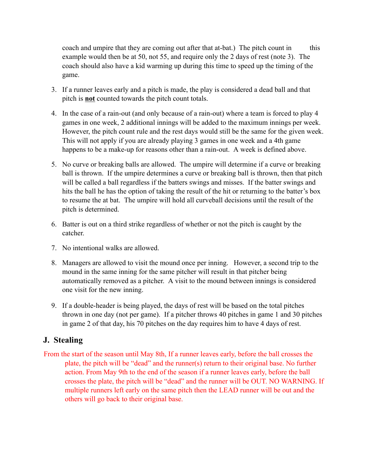coach and umpire that they are coming out after that at-bat.) The pitch count in this example would then be at 50, not 55, and require only the 2 days of rest (note 3). The coach should also have a kid warming up during this time to speed up the timing of the game.

- 3. If a runner leaves early and a pitch is made, the play is considered a dead ball and that pitch is **not** counted towards the pitch count totals.
- 4. In the case of a rain-out (and only because of a rain-out) where a team is forced to play 4 games in one week, 2 additional innings will be added to the maximum innings per week. However, the pitch count rule and the rest days would still be the same for the given week. This will not apply if you are already playing 3 games in one week and a 4th game happens to be a make-up for reasons other than a rain-out. A week is defined above.
- 5. No curve or breaking balls are allowed. The umpire will determine if a curve or breaking ball is thrown. If the umpire determines a curve or breaking ball is thrown, then that pitch will be called a ball regardless if the batters swings and misses. If the batter swings and hits the ball he has the option of taking the result of the hit or returning to the batter's box to resume the at bat. The umpire will hold all curveball decisions until the result of the pitch is determined.
- 6. Batter is out on a third strike regardless of whether or not the pitch is caught by the catcher.
- 7. No intentional walks are allowed.
- 8. Managers are allowed to visit the mound once per inning. However, a second trip to the mound in the same inning for the same pitcher will result in that pitcher being automatically removed as a pitcher. A visit to the mound between innings is considered one visit for the new inning.
- 9. If a double-header is being played, the days of rest will be based on the total pitches thrown in one day (not per game). If a pitcher throws 40 pitches in game 1 and 30 pitches in game 2 of that day, his 70 pitches on the day requires him to have 4 days of rest.

#### **J. Stealing**

From the start of the season until May 8th, If a runner leaves early, before the ball crosses the plate, the pitch will be "dead" and the runner(s) return to their original base. No further action. From May 9th to the end of the season if a runner leaves early, before the ball crosses the plate, the pitch will be "dead" and the runner will be OUT. NO WARNING. If multiple runners left early on the same pitch then the LEAD runner will be out and the others will go back to their original base.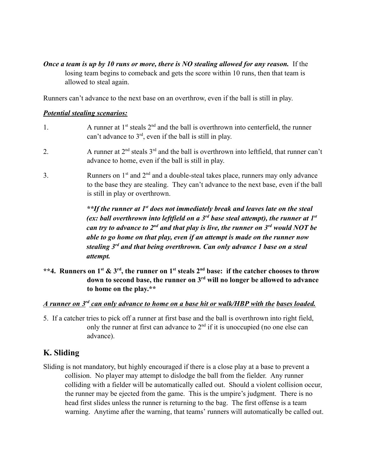*Once a team is up by 10 runs or more, there is NO stealing allowed for any reason.* If the losing team begins to comeback and gets the score within 10 runs, then that team is allowed to steal again.

Runners can't advance to the next base on an overthrow, even if the ball is still in play.

#### *Potential stealing scenarios:*

- 1. A runner at  $1^{st}$  steals  $2^{nd}$  and the ball is overthrown into centerfield, the runner can't advance to  $3<sup>rd</sup>$ , even if the ball is still in play.
- 2. A runner at  $2<sup>nd</sup>$  steals  $3<sup>rd</sup>$  and the ball is overthrown into leftfield, that runner can't advance to home, even if the ball is still in play.
- 3. Runners on  $1<sup>st</sup>$  and  $2<sup>nd</sup>$  and a double-steal takes place, runners may only advance to the base they are stealing. They can't advance to the next base, even if the ball is still in play or overthrown.

*\*\*If the runner at 1st does not immediately break and leaves late on the steal (ex: ball overthrown into leftfield on a 3rd base steal attempt), the runner at 1st can try to advance to 2nd and that play is live, the runner on 3rd would NOT be able to go home on that play, even if an attempt is made on the runner now stealing 3rd and that being overthrown. Can only advance 1 base on a steal attempt.*

\*\*4. Runners on  $1^{\text{st}}$  &  $3^{\text{rd}}$ , the runner on  $1^{\text{st}}$  steals  $2^{\text{nd}}$  base: if the catcher chooses to throw **down to second base, the runner on 3rd will no longer be allowed to advance to home on the play.\*\***

#### *A runner on 3rd can only advance to home on a base hit or walk/HBP with the bases loaded.*

5. If a catcher tries to pick off a runner at first base and the ball is overthrown into right field, only the runner at first can advance to  $2<sup>nd</sup>$  if it is unoccupied (no one else can advance).

#### **K. Sliding**

Sliding is not mandatory, but highly encouraged if there is a close play at a base to prevent a collision. No player may attempt to dislodge the ball from the fielder. Any runner colliding with a fielder will be automatically called out. Should a violent collision occur, the runner may be ejected from the game. This is the umpire's judgment. There is no head first slides unless the runner is returning to the bag. The first offense is a team warning. Anytime after the warning, that teams' runners will automatically be called out.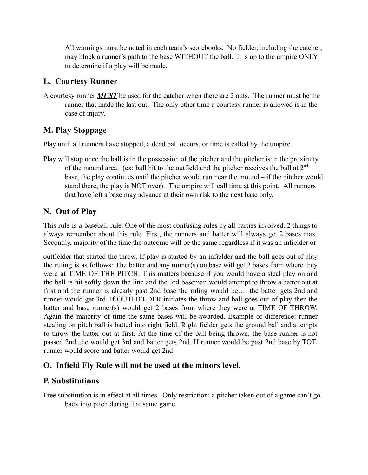All warnings must be noted in each team's scorebooks. No fielder, including the catcher, may block a runner's path to the base WITHOUT the ball. It is up to the umpire ONLY to determine if a play will be made.

### **L. Courtesy Runner**

A courtesy runner *MUST* be used for the catcher when there are 2 outs. The runner must be the runner that made the last out. The only other time a courtesy runner is allowed is in the case of injury.

## **M. Play Stoppage**

Play until all runners have stopped, a dead ball occurs, or time is called by the umpire.

Play will stop once the ball is in the possession of the pitcher and the pitcher is in the proximity of the mound area. (ex: ball hit to the outfield and the pitcher receives the ball at  $2<sup>nd</sup>$ base, the play continues until the pitcher would run near the mound – if the pitcher would stand there, the play is NOT over). The umpire will call time at this point. All runners that have left a base may advance at their own risk to the next base only.

## **N. Out of Play**

This rule is a baseball rule. One of the most confusing rules by all parties involved. 2 things to always remember about this rule. First, the runners and batter will always get 2 bases max. Secondly, majority of the time the outcome will be the same regardless if it was an infielder or

outfielder that started the throw. If play is started by an infielder and the ball goes out of play the ruling is as follows: The batter and any runner(s) on base will get 2 bases from where they were at TIME OF THE PITCH. This matters because if you would have a steal play on and the ball is hit softly down the line and the 3rd baseman would attempt to throw a batter out at first and the runner is already past 2nd base the ruling would be…. the batter gets 2nd and runner would get 3rd. If OUTFIELDER initiates the throw and ball goes out of play then the batter and base runner(s) would get 2 bases from where they were at TIME OF THROW. Again the majority of time the same bases will be awarded. Example of difference: runner stealing on pitch ball is batted into right field. Right fielder gets the ground ball and attempts to throw the batter out at first. At the time of the ball being thrown, the base runner is not passed 2nd...he would get 3rd and batter gets 2nd. If runner would be past 2nd base by TOT, runner would score and batter would get 2nd

## **O. Infield Fly Rule will not be used at the minors level.**

## **P. Substitutions**

Free substitution is in effect at all times. Only restriction: a pitcher taken out of a game can't go back into pitch during that same game.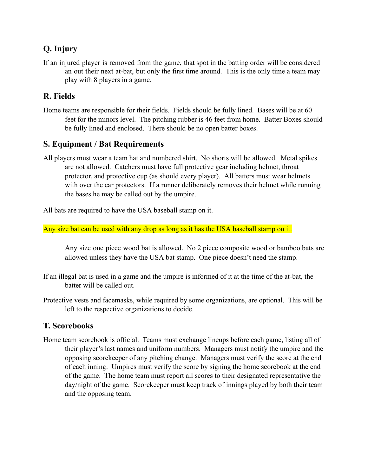# **Q. Injury**

If an injured player is removed from the game, that spot in the batting order will be considered an out their next at-bat, but only the first time around. This is the only time a team may play with 8 players in a game.

## **R. Fields**

Home teams are responsible for their fields. Fields should be fully lined. Bases will be at 60 feet for the minors level. The pitching rubber is 46 feet from home. Batter Boxes should be fully lined and enclosed. There should be no open batter boxes.

### **S. Equipment / Bat Requirements**

All players must wear a team hat and numbered shirt. No shorts will be allowed. Metal spikes are not allowed. Catchers must have full protective gear including helmet, throat protector, and protective cup (as should every player). All batters must wear helmets with over the ear protectors. If a runner deliberately removes their helmet while running the bases he may be called out by the umpire.

All bats are required to have the USA baseball stamp on it.

Any size bat can be used with any drop as long as it has the USA baseball stamp on it.

Any size one piece wood bat is allowed. No 2 piece composite wood or bamboo bats are allowed unless they have the USA bat stamp. One piece doesn't need the stamp.

- If an illegal bat is used in a game and the umpire is informed of it at the time of the at-bat, the batter will be called out.
- Protective vests and facemasks, while required by some organizations, are optional. This will be left to the respective organizations to decide.

## **T. Scorebooks**

Home team scorebook is official. Teams must exchange lineups before each game, listing all of their player's last names and uniform numbers. Managers must notify the umpire and the opposing scorekeeper of any pitching change. Managers must verify the score at the end of each inning. Umpires must verify the score by signing the home scorebook at the end of the game. The home team must report all scores to their designated representative the day/night of the game. Scorekeeper must keep track of innings played by both their team and the opposing team.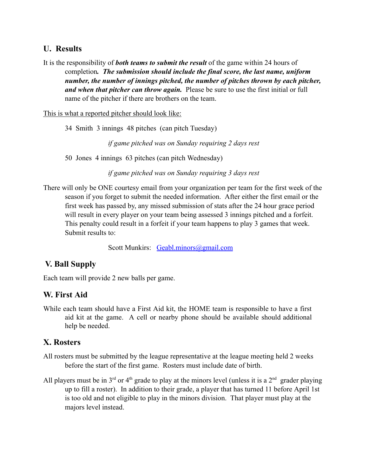#### **U. Results**

It is the responsibility of *both teams to submit the result* of the game within 24 hours of completion*. The submission should include the final score, the last name, uniform number, the number of innings pitched, the number of pitches thrown by each pitcher, and when that pitcher can throw again.* Please be sure to use the first initial or full name of the pitcher if there are brothers on the team.

This is what a reported pitcher should look like:

34 Smith 3 innings 48 pitches (can pitch Tuesday)

*if game pitched was on Sunday requiring 2 days rest*

50 Jones 4 innings 63 pitches (can pitch Wednesday)

*if game pitched was on Sunday requiring 3 days rest*

There will only be ONE courtesy email from your organization per team for the first week of the season if you forget to submit the needed information. After either the first email or the first week has passed by, any missed submission of stats after the 24 hour grace period will result in every player on your team being assessed 3 innings pitched and a forfeit. This penalty could result in a forfeit if your team happens to play 3 games that week. Submit results to:

Scott Munkirs: Geabl.minors@gmail.com

#### **V. Ball Supply**

Each team will provide 2 new balls per game.

#### **W. First Aid**

While each team should have a First Aid kit, the HOME team is responsible to have a first aid kit at the game. A cell or nearby phone should be available should additional help be needed.

#### **X. Rosters**

- All rosters must be submitted by the league representative at the league meeting held 2 weeks before the start of the first game. Rosters must include date of birth.
- All players must be in  $3<sup>rd</sup>$  or 4<sup>th</sup> grade to play at the minors level (unless it is a  $2<sup>nd</sup>$  grader playing up to fill a roster). In addition to their grade, a player that has turned 11 before April 1st is too old and not eligible to play in the minors division. That player must play at the majors level instead.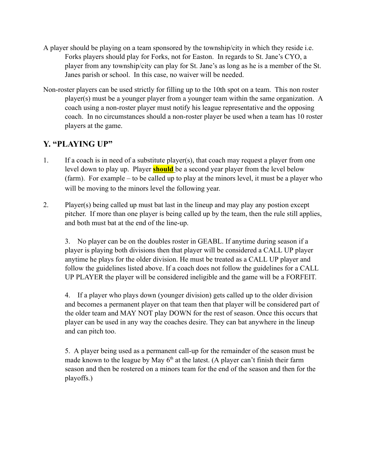- A player should be playing on a team sponsored by the township/city in which they reside i.e. Forks players should play for Forks, not for Easton. In regards to St. Jane's CYO, a player from any township/city can play for St. Jane's as long as he is a member of the St. Janes parish or school. In this case, no waiver will be needed.
- Non-roster players can be used strictly for filling up to the 10th spot on a team. This non roster player(s) must be a younger player from a younger team within the same organization. A coach using a non-roster player must notify his league representative and the opposing coach. In no circumstances should a non-roster player be used when a team has 10 roster players at the game.

## **Y. "PLAYING UP"**

- 1. If a coach is in need of a substitute player(s), that coach may request a player from one level down to play up. Player **should** be a second year player from the level below (farm). For example – to be called up to play at the minors level, it must be a player who will be moving to the minors level the following year.
- 2. Player(s) being called up must bat last in the lineup and may play any postion except pitcher. If more than one player is being called up by the team, then the rule still applies, and both must bat at the end of the line-up.

3. No player can be on the doubles roster in GEABL. If anytime during season if a player is playing both divisions then that player will be considered a CALL UP player anytime he plays for the older division. He must be treated as a CALL UP player and follow the guidelines listed above. If a coach does not follow the guidelines for a CALL UP PLAYER the player will be considered ineligible and the game will be a FORFEIT.

4. If a player who plays down (younger division) gets called up to the older division and becomes a permanent player on that team then that player will be considered part of the older team and MAY NOT play DOWN for the rest of season. Once this occurs that player can be used in any way the coaches desire. They can bat anywhere in the lineup and can pitch too.

5. A player being used as a permanent call-up for the remainder of the season must be made known to the league by May  $6<sup>th</sup>$  at the latest. (A player can't finish their farm season and then be rostered on a minors team for the end of the season and then for the playoffs.)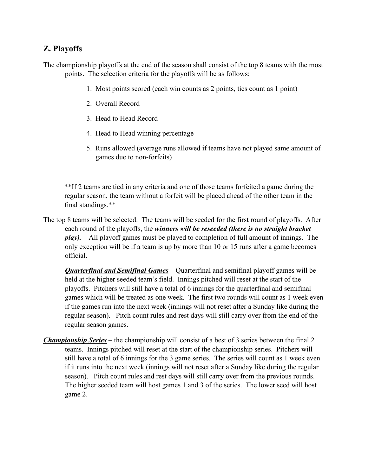### **Z. Playoffs**

The championship playoffs at the end of the season shall consist of the top 8 teams with the most points. The selection criteria for the playoffs will be as follows:

- 1. Most points scored (each win counts as 2 points, ties count as 1 point)
- 2. Overall Record
- 3. Head to Head Record
- 4. Head to Head winning percentage
- 5. Runs allowed (average runs allowed if teams have not played same amount of games due to non-forfeits)

\*\*If 2 teams are tied in any criteria and one of those teams forfeited a game during the regular season, the team without a forfeit will be placed ahead of the other team in the final standings.\*\*

The top 8 teams will be selected. The teams will be seeded for the first round of playoffs. After each round of the playoffs, the *winners will be reseeded (there is no straight bracket play).* All playoff games must be played to completion of full amount of innings. The only exception will be if a team is up by more than 10 or 15 runs after a game becomes official.

*Quarterfinal and Semifinal Games* – Quarterfinal and semifinal playoff games will be held at the higher seeded team's field. Innings pitched will reset at the start of the playoffs. Pitchers will still have a total of 6 innings for the quarterfinal and semifinal games which will be treated as one week. The first two rounds will count as 1 week even if the games run into the next week (innings will not reset after a Sunday like during the regular season). Pitch count rules and rest days will still carry over from the end of the regular season games.

*Championship Series* – the championship will consist of a best of 3 series between the final 2 teams. Innings pitched will reset at the start of the championship series. Pitchers will still have a total of 6 innings for the 3 game series. The series will count as 1 week even if it runs into the next week (innings will not reset after a Sunday like during the regular season). Pitch count rules and rest days will still carry over from the previous rounds. The higher seeded team will host games 1 and 3 of the series. The lower seed will host game 2.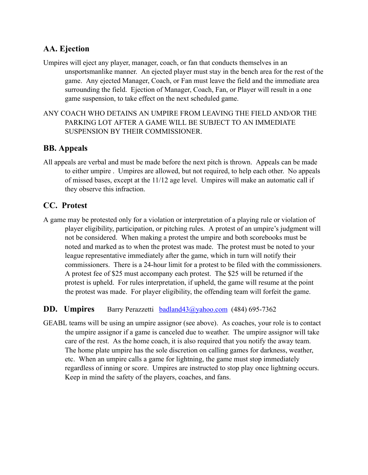### **AA. Ejection**

- Umpires will eject any player, manager, coach, or fan that conducts themselves in an unsportsmanlike manner. An ejected player must stay in the bench area for the rest of the game. Any ejected Manager, Coach, or Fan must leave the field and the immediate area surrounding the field. Ejection of Manager, Coach, Fan, or Player will result in a one game suspension, to take effect on the next scheduled game.
- ANY COACH WHO DETAINS AN UMPIRE FROM LEAVING THE FIELD AND/OR THE PARKING LOT AFTER A GAME WILL BE SUBJECT TO AN IMMEDIATE SUSPENSION BY THEIR COMMISSIONER.

#### **BB. Appeals**

All appeals are verbal and must be made before the next pitch is thrown. Appeals can be made to either umpire . Umpires are allowed, but not required, to help each other. No appeals of missed bases, except at the 11/12 age level. Umpires will make an automatic call if they observe this infraction.

### **CC. Protest**

A game may be protested only for a violation or interpretation of a playing rule or violation of player eligibility, participation, or pitching rules. A protest of an umpire's judgment will not be considered. When making a protest the umpire and both scorebooks must be noted and marked as to when the protest was made. The protest must be noted to your league representative immediately after the game, which in turn will notify their commissioners. There is a 24-hour limit for a protest to be filed with the commissioners. A protest fee of \$25 must accompany each protest. The \$25 will be returned if the protest is upheld. For rules interpretation, if upheld, the game will resume at the point the protest was made. For player eligibility, the offending team will forfeit the game.

#### **DD. Umpires** Barry Perazzetti **badland43@yahoo.com** (484) 695-7362

GEABL teams will be using an umpire assignor (see above). As coaches, your role is to contact the umpire assignor if a game is canceled due to weather. The umpire assignor will take care of the rest. As the home coach, it is also required that you notify the away team. The home plate umpire has the sole discretion on calling games for darkness, weather, etc. When an umpire calls a game for lightning, the game must stop immediately regardless of inning or score. Umpires are instructed to stop play once lightning occurs. Keep in mind the safety of the players, coaches, and fans.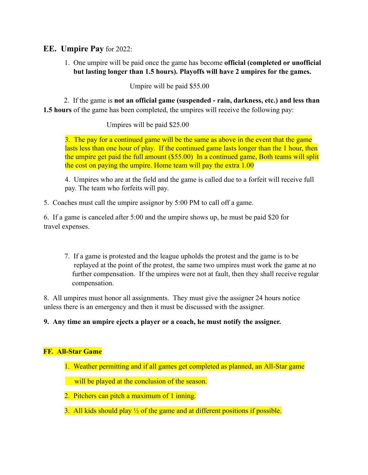#### **EE. Umpire Pay** for 2022:

1. One umpire will be paid once the game has become **official (completed or unofficial but lasting longer than 1.5 hours). Playoffs will have 2 umpires for the games.**

Umpire will be paid \$55.00

2. If the game is **not an official game (suspended - rain, darkness, etc.) and less than 1.5 hours** of the game has been completed, the umpires will receive the following pay:

Umpires will be paid \$25.00

3. The pay for a continued game will be the same as above in the event that the game lasts less than one hour of play. If the continued game lasts longer than the 1 hour, then the umpire get paid the full amount (\$55.00) In a continued game, Both teams will split the cost on paying the umpire. Home team will pay the extra 1.00

4. Umpires who are at the field and the game is called due to a forfeit will receive full pay. The team who forfeits will pay.

5. Coaches must call the umpire assignor by 5:00 PM to call off a game.

6. If a game is canceled after 5:00 and the umpire shows up, he must be paid \$20 for travel expenses.

7. If a game is protested and the league upholds the protest and the game is to be replayed at the point of the protest, the same two umpires must work the game at no further compensation. If the umpires were not at fault, then they shall receive regular compensation.

8. All umpires must honor all assignments. They must give the assigner 24 hours notice unless there is an emergency and then it must be discussed with the assigner.

#### **9. Any time an umpire ejects a player or a coach, he must notify the assigner.**

#### **FF. All-Star Game**

1. Weather permitting and if all games get completed as planned, an All-Star game

will be played at the conclusion of the season.

- 2. Pitchers can pitch a maximum of 1 inning.
- 3. All kids should play  $\frac{1}{2}$  of the game and at different positions if possible.